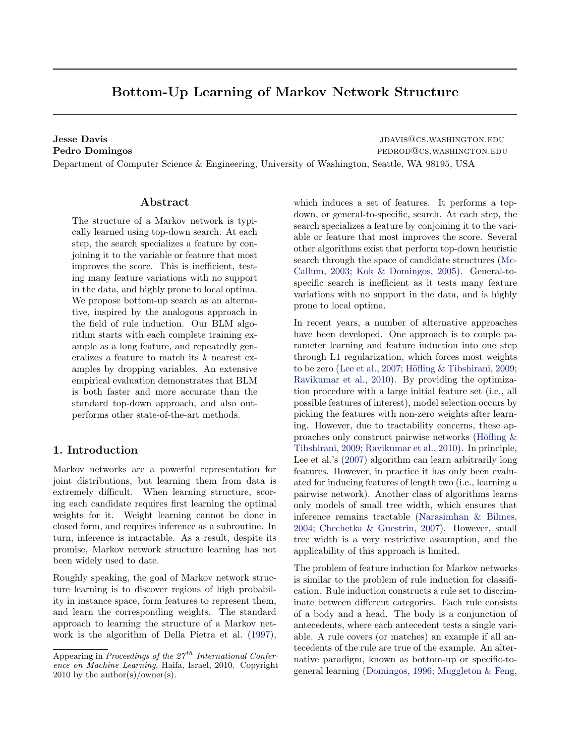# Bottom-Up Learning of Markov Network Structure

**Jesse Davis JESSE Davis JUANISQUE AND ARRIVE ON A SUMPLE OF A SUMPLE OF A SUMPLE OF A SUMPLE OF A SUMPLE OF A SUMPLE OF A SUMPLE OF A SUMPLE OF A SUMPLE OF A SUMPLE OF A SUMPLE OF A SUMPLE OF A SUMPLE OF A SUMPLE OF A** Pedro Domingos **pedro Domingos** pedrodos.washington.edu

Department of Computer Science & Engineering, University of Washington, Seattle, WA 98195, USA

# Abstract

The structure of a Markov network is typically learned using top-down search. At each step, the search specializes a feature by conjoining it to the variable or feature that most improves the score. This is inefficient, testing many feature variations with no support in the data, and highly prone to local optima. We propose bottom-up search as an alternative, inspired by the analogous approach in the field of rule induction. Our BLM algorithm starts with each complete training example as a long feature, and repeatedly generalizes a feature to match its k nearest examples by dropping variables. An extensive empirical evaluation demonstrates that BLM is both faster and more accurate than the standard top-down approach, and also outperforms other state-of-the-art methods.

# 1. Introduction

Markov networks are a powerful representation for joint distributions, but learning them from data is extremely difficult. When learning structure, scoring each candidate requires first learning the optimal weights for it. Weight learning cannot be done in closed form, and requires inference as a subroutine. In turn, inference is intractable. As a result, despite its promise, Markov network structure learning has not been widely used to date.

Roughly speaking, the goal of Markov network structure learning is to discover regions of high probability in instance space, form features to represent them, and learn the corresponding weights. The standard approach to learning the structure of a Markov network is the algorithm of Della Pietra et al. [\(1997\)](#page-7-0), which induces a set of features. It performs a topdown, or general-to-specific, search. At each step, the search specializes a feature by conjoining it to the variable or feature that most improves the score. Several other algorithms exist that perform top-down heuristic search through the space of candidate structures [\(Mc-](#page-7-0)[Callum,](#page-7-0) [2003;](#page-7-0) [Kok & Domingos,](#page-7-0) [2005\)](#page-7-0). General-tospecific search is inefficient as it tests many feature variations with no support in the data, and is highly prone to local optima.

In recent years, a number of alternative approaches have been developed. One approach is to couple parameter learning and feature induction into one step through L1 regularization, which forces most weights to be zero [\(Lee et al.,](#page-7-0) [2007;](#page-7-0) Höfling  $&$  Tibshirani, [2009;](#page-7-0) [Ravikumar et al.,](#page-7-0) [2010\)](#page-7-0). By providing the optimization procedure with a large initial feature set (i.e., all possible features of interest), model selection occurs by picking the features with non-zero weights after learning. However, due to tractability concerns, these approaches only construct pairwise networks (Höfling  $\&$ [Tibshirani,](#page-7-0) [2009;](#page-7-0) [Ravikumar et al.,](#page-7-0) [2010\)](#page-7-0). In principle, Lee et al.'s [\(2007\)](#page-7-0) algorithm can learn arbitrarily long features. However, in practice it has only been evaluated for inducing features of length two (i.e., learning a pairwise network). Another class of algorithms learns only models of small tree width, which ensures that inference remains tractable [\(Narasimhan & Bilmes,](#page-7-0) [2004;](#page-7-0) [Chechetka & Guestrin,](#page-7-0) [2007\)](#page-7-0). However, small tree width is a very restrictive assumption, and the applicability of this approach is limited.

The problem of feature induction for Markov networks is similar to the problem of rule induction for classification. Rule induction constructs a rule set to discriminate between different categories. Each rule consists of a body and a head. The body is a conjunction of antecedents, where each antecedent tests a single variable. A rule covers (or matches) an example if all antecedents of the rule are true of the example. An alternative paradigm, known as bottom-up or specific-togeneral learning [\(Domingos,](#page-7-0) [1996;](#page-7-0) [Muggleton & Feng,](#page-7-0)

Appearing in Proceedings of the  $27<sup>th</sup>$  International Conference on Machine Learning, Haifa, Israel, 2010. Copyright 2010 by the author(s)/owner(s).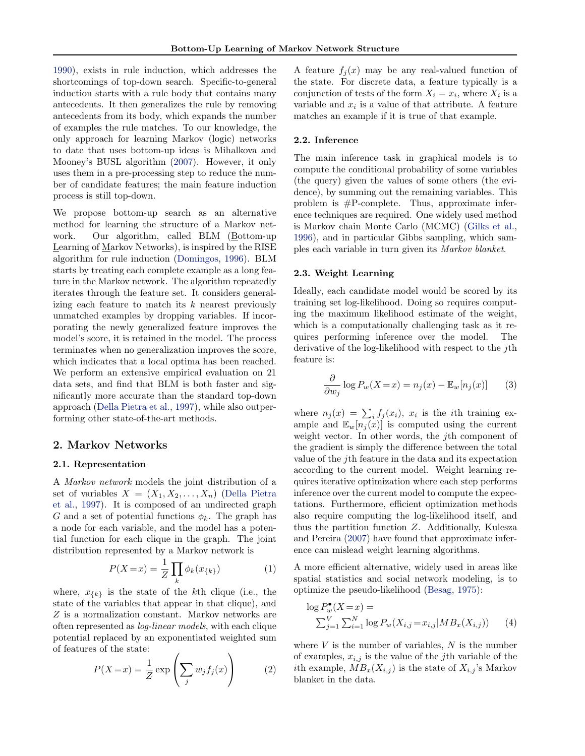<span id="page-1-0"></span>[1990\)](#page-7-0), exists in rule induction, which addresses the shortcomings of top-down search. Specific-to-general induction starts with a rule body that contains many antecedents. It then generalizes the rule by removing antecedents from its body, which expands the number of examples the rule matches. To our knowledge, the only approach for learning Markov (logic) networks to date that uses bottom-up ideas is Mihalkova and Mooney's BUSL algorithm [\(2007\)](#page-7-0). However, it only uses them in a pre-processing step to reduce the number of candidate features; the main feature induction process is still top-down.

We propose bottom-up search as an alternative method for learning the structure of a Markov network. Our algorithm, called BLM (Bottom-up Learning of Markov Networks), is inspired by the RISE algorithm for rule induction [\(Domingos,](#page-7-0) [1996\)](#page-7-0). BLM starts by treating each complete example as a long feature in the Markov network. The algorithm repeatedly iterates through the feature set. It considers generalizing each feature to match its  $k$  nearest previously unmatched examples by dropping variables. If incorporating the newly generalized feature improves the model's score, it is retained in the model. The process terminates when no generalization improves the score, which indicates that a local optima has been reached. We perform an extensive empirical evaluation on 21 data sets, and find that BLM is both faster and significantly more accurate than the standard top-down approach [\(Della Pietra et al.,](#page-7-0) [1997\)](#page-7-0), while also outperforming other state-of-the-art methods.

# 2. Markov Networks

#### 2.1. Representation

A Markov network models the joint distribution of a set of variables  $X = (X_1, X_2, \ldots, X_n)$  [\(Della Pietra](#page-7-0) [et al.,](#page-7-0) [1997\)](#page-7-0). It is composed of an undirected graph G and a set of potential functions  $\phi_k$ . The graph has a node for each variable, and the model has a potential function for each clique in the graph. The joint distribution represented by a Markov network is

$$
P(X=x) = \frac{1}{Z} \prod_{k} \phi_k(x_{\{k\}})
$$
 (1)

where,  $x_{\{k\}}$  is the state of the kth clique (i.e., the state of the variables that appear in that clique), and Z is a normalization constant. Markov networks are often represented as log-linear models, with each clique potential replaced by an exponentiated weighted sum of features of the state:

$$
P(X=x) = \frac{1}{Z} \exp\left(\sum_{j} w_j f_j(x)\right) \tag{2}
$$

A feature  $f_i(x)$  may be any real-valued function of the state. For discrete data, a feature typically is a conjunction of tests of the form  $X_i = x_i$ , where  $X_i$  is a variable and  $x_i$  is a value of that attribute. A feature matches an example if it is true of that example.

## 2.2. Inference

The main inference task in graphical models is to compute the conditional probability of some variables (the query) given the values of some others (the evidence), by summing out the remaining variables. This problem is #P-complete. Thus, approximate inference techniques are required. One widely used method is Markov chain Monte Carlo (MCMC) [\(Gilks et al.,](#page-7-0) [1996\)](#page-7-0), and in particular Gibbs sampling, which samples each variable in turn given its Markov blanket.

#### 2.3. Weight Learning

Ideally, each candidate model would be scored by its training set log-likelihood. Doing so requires computing the maximum likelihood estimate of the weight, which is a computationally challenging task as it requires performing inference over the model. The derivative of the log-likelihood with respect to the *j*th feature is:

$$
\frac{\partial}{\partial w_j} \log P_w(X = x) = n_j(x) - \mathbb{E}_w[n_j(x)] \qquad (3)
$$

where  $n_j(x) = \sum_i f_j(x_i)$ ,  $x_i$  is the *i*th training example and  $\mathbb{E}_w[n_i(x)]$  is computed using the current weight vector. In other words, the jth component of the gradient is simply the difference between the total value of the jth feature in the data and its expectation according to the current model. Weight learning requires iterative optimization where each step performs inference over the current model to compute the expectations. Furthermore, efficient optimization methods also require computing the log-likelihood itself, and thus the partition function Z. Additionally, Kulesza and Pereira [\(2007\)](#page-7-0) have found that approximate inference can mislead weight learning algorithms.

A more efficient alternative, widely used in areas like spatial statistics and social network modeling, is to optimize the pseudo-likelihood [\(Besag,](#page-7-0) [1975\)](#page-7-0):

$$
\log P_w^{\bullet}(X = x) =
$$
  
 
$$
\sum_{j=1}^{V} \sum_{i=1}^{N} \log P_w(X_{i,j} = x_{i,j} | MB_x(X_{i,j}))
$$
 (4)

where  $V$  is the number of variables,  $N$  is the number of examples,  $x_{i,j}$  is the value of the *j*th variable of the ith example,  $MB_x(X_{i,j})$  is the state of  $X_{i,j}$ 's Markov blanket in the data.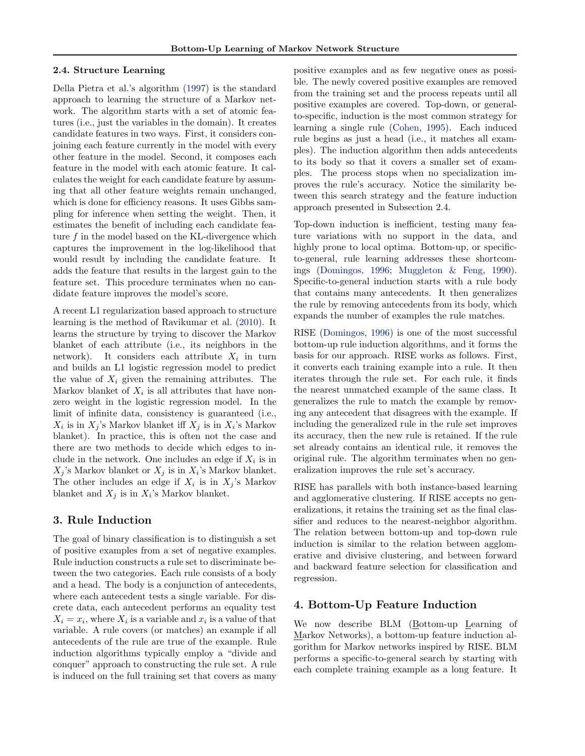#### 2.4. Structure Learning

Della Pietra et al.'s algorithm [\(1997\)](#page-7-0) is the standard approach to learning the structure of a Markov network. The algorithm starts with a set of atomic features (i.e., just the variables in the domain). It creates candidate features in two ways. First, it considers conjoining each feature currently in the model with every other feature in the model. Second, it composes each feature in the model with each atomic feature. It calculates the weight for each candidate feature by assuming that all other feature weights remain unchanged, which is done for efficiency reasons. It uses Gibbs sampling for inference when setting the weight. Then, it estimates the benefit of including each candidate feature f in the model based on the KL-divergence which captures the improvement in the log-likelihood that would result by including the candidate feature. It adds the feature that results in the largest gain to the feature set. This procedure terminates when no candidate feature improves the model's score.

A recent L1 regularization based approach to structure learning is the method of Ravikumar et al. [\(2010\)](#page-7-0). It learns the structure by trying to discover the Markov blanket of each attribute (i.e., its neighbors in the network). It considers each attribute  $X_i$  in turn and builds an L1 logistic regression model to predict the value of  $X_i$  given the remaining attributes. The Markov blanket of  $X_i$  is all attributes that have nonzero weight in the logistic regression model. In the limit of infinite data, consistency is guaranteed (i.e.,  $X_i$  is in  $X_j$ 's Markov blanket iff  $X_j$  is in  $X_i$ 's Markov blanket). In practice, this is often not the case and there are two methods to decide which edges to include in the network. One includes an edge if  $X_i$  is in  $X_j$ 's Markov blanket or  $X_j$  is in  $X_i$ 's Markov blanket. The other includes an edge if  $X_i$  is in  $X_j$ 's Markov blanket and  $X_j$  is in  $X_i$ 's Markov blanket.

# 3. Rule Induction

The goal of binary classification is to distinguish a set of positive examples from a set of negative examples. Rule induction constructs a rule set to discriminate between the two categories. Each rule consists of a body and a head. The body is a conjunction of antecedents, where each antecedent tests a single variable. For discrete data, each antecedent performs an equality test  $X_i = x_i$ , where  $X_i$  is a variable and  $x_i$  is a value of that variable. A rule covers (or matches) an example if all antecedents of the rule are true of the example. Rule induction algorithms typically employ a "divide and conquer" approach to constructing the rule set. A rule is induced on the full training set that covers as many

positive examples and as few negative ones as possible. The newly covered positive examples are removed from the training set and the process repeats until all positive examples are covered. Top-down, or generalto-specific, induction is the most common strategy for learning a single rule [\(Cohen,](#page-7-0) [1995\)](#page-7-0). Each induced rule begins as just a head (i.e., it matches all examples). The induction algorithm then adds antecedents to its body so that it covers a smaller set of examples. The process stops when no specialization improves the rule's accuracy. Notice the similarity between this search strategy and the feature induction approach presented in Subsection 2.4.

Top-down induction is inefficient, testing many feature variations with no support in the data, and highly prone to local optima. Bottom-up, or specificto-general, rule learning addresses these shortcomings [\(Domingos,](#page-7-0) [1996;](#page-7-0) [Muggleton & Feng,](#page-7-0) [1990\)](#page-7-0). Specific-to-general induction starts with a rule body that contains many antecedents. It then generalizes the rule by removing antecedents from its body, which expands the number of examples the rule matches.

RISE [\(Domingos,](#page-7-0) [1996\)](#page-7-0) is one of the most successful bottom-up rule induction algorithms, and it forms the basis for our approach. RISE works as follows. First, it converts each training example into a rule. It then iterates through the rule set. For each rule, it finds the nearest unmatched example of the same class. It generalizes the rule to match the example by removing any antecedent that disagrees with the example. If including the generalized rule in the rule set improves its accuracy, then the new rule is retained. If the rule set already contains an identical rule, it removes the original rule. The algorithm terminates when no generalization improves the rule set's accuracy.

RISE has parallels with both instance-based learning and agglomerative clustering. If RISE accepts no generalizations, it retains the training set as the final classifier and reduces to the nearest-neighbor algorithm. The relation between bottom-up and top-down rule induction is similar to the relation between agglomerative and divisive clustering, and between forward and backward feature selection for classification and regression.

# 4. Bottom-Up Feature Induction

We now describe BLM (Bottom-up Learning of Markov Networks), a bottom-up feature induction algorithm for Markov networks inspired by RISE. BLM performs a specific-to-general search by starting with each complete training example as a long feature. It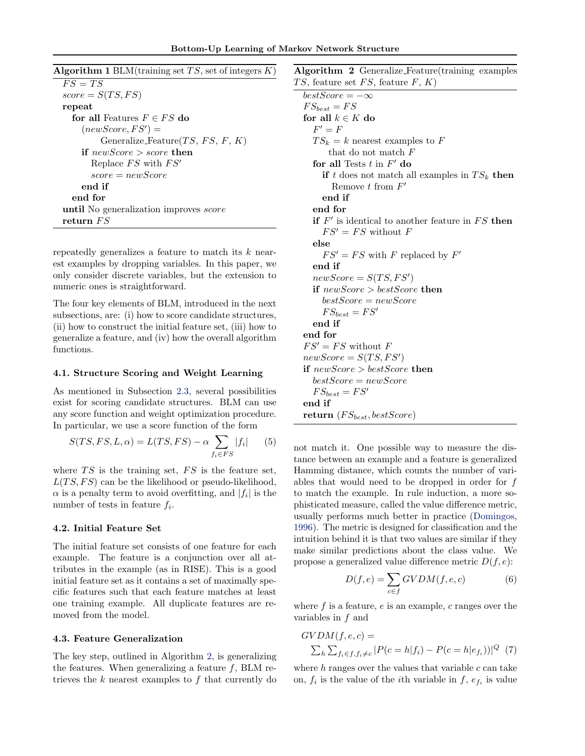<span id="page-3-0"></span>

| <b>Algorithm 1</b> BLM(training set $TS$ , set of integers $K$ ) |
|------------------------------------------------------------------|
| $FS = TS$                                                        |
| $score = S(TS, FS)$                                              |
| repeat                                                           |
| for all Features $F \in FS$ do                                   |
| $(newScore, FS') =$                                              |
| Generalize_Feature $(TS, FS, F, K)$                              |
| if new Score $>$ score then                                      |
| Replace $FS$ with $FS'$                                          |
| $score = newScore$                                               |
| end if                                                           |
| end for                                                          |
| <b>until</b> No generalization improves <i>score</i>             |
| return $FS$                                                      |

repeatedly generalizes a feature to match its  $k$  nearest examples by dropping variables. In this paper, we only consider discrete variables, but the extension to numeric ones is straightforward.

The four key elements of BLM, introduced in the next subsections, are: (i) how to score candidate structures, (ii) how to construct the initial feature set, (iii) how to generalize a feature, and (iv) how the overall algorithm functions.

#### 4.1. Structure Scoring and Weight Learning

As mentioned in Subsection [2.3,](#page-1-0) several possibilities exist for scoring candidate structures. BLM can use any score function and weight optimization procedure. In particular, we use a score function of the form

$$
S(TS, FS, L, \alpha) = L(TS, FS) - \alpha \sum_{f_i \in FS} |f_i| \qquad (5)
$$

where  $TS$  is the training set,  $FS$  is the feature set,  $L(TS, FS)$  can be the likelihood or pseudo-likelihood,  $\alpha$  is a penalty term to avoid overfitting, and  $|f_i|$  is the number of tests in feature  $f_i$ .

#### 4.2. Initial Feature Set

The initial feature set consists of one feature for each example. The feature is a conjunction over all attributes in the example (as in RISE). This is a good initial feature set as it contains a set of maximally specific features such that each feature matches at least one training example. All duplicate features are removed from the model.

#### 4.3. Feature Generalization

The key step, outlined in Algorithm 2, is generalizing the features. When generalizing a feature  $f$ , BLM retrieves the  $k$  nearest examples to  $f$  that currently do

Algorithm 2 Generalize Feature(training examples TS, feature set  $FS$ , feature  $F, K$ )

 $bestScore = -\infty$  $FS_{best} = FS$ for all  $k \in K$  do  $F' = F$  $TS_k = k$  nearest examples to F that do not match  $F$ for all Tests  $t$  in  $F'$  do if t does not match all examples in  $TS_k$  then Remove  $t$  from  $F'$ end if end for if  $F'$  is identical to another feature in  $FS$  then  $FS' = FS$  without F else  $FS' = FS$  with F replaced by  $F'$ end if  $newScore = S(TS, FS')$ if newScore > bestScore then  $bestScore = newScore$  $FS_{best} = FS'$ end if end for  $FS' = FS$  without F  $newScore = S(TS, FS')$ if  $newScore > bestScore$  then  $bestScore = newScore$  $FS_{best} = FS'$ end if return  $(FS_{best}, bestScore)$ 

not match it. One possible way to measure the distance between an example and a feature is generalized Hamming distance, which counts the number of variables that would need to be dropped in order for  $f$ to match the example. In rule induction, a more sophisticated measure, called the value difference metric, usually performs much better in practice [\(Domingos,](#page-7-0) [1996\)](#page-7-0). The metric is designed for classification and the intuition behind it is that two values are similar if they make similar predictions about the class value. We propose a generalized value difference metric  $D(f, e)$ :

$$
D(f, e) = \sum_{c \in f} G V D M(f, e, c)
$$
 (6)

where f is a feature,  $e$  is an example,  $c$  ranges over the variables in f and

$$
GVDM(f, e, c) =
$$
  
 
$$
\sum_{h} \sum_{f_i \in f, f_i \neq c} |P(c = h|f_i) - P(c = h|e_{f_i}))|^Q
$$
 (7)

where  $h$  ranges over the values that variable  $c$  can take on,  $f_i$  is the value of the *i*<sup>th</sup> variable in  $f$ ,  $e_{f_i}$  is value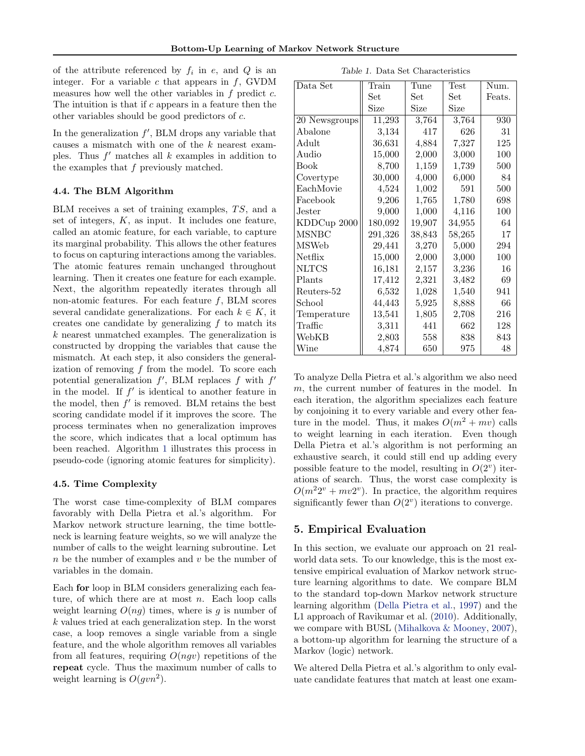<span id="page-4-0"></span>of the attribute referenced by  $f_i$  in e, and Q is an integer. For a variable  $c$  that appears in  $f$ , GVDM measures how well the other variables in  $f$  predict  $c$ . The intuition is that if c appears in a feature then the other variables should be good predictors of c.

In the generalization  $f'$ , BLM drops any variable that causes a mismatch with one of the k nearest examples. Thus  $f'$  matches all  $k$  examples in addition to the examples that  $f$  previously matched.

## 4.4. The BLM Algorithm

BLM receives a set of training examples,  $TS$ , and a set of integers,  $K$ , as input. It includes one feature, called an atomic feature, for each variable, to capture its marginal probability. This allows the other features to focus on capturing interactions among the variables. The atomic features remain unchanged throughout learning. Then it creates one feature for each example. Next, the algorithm repeatedly iterates through all non-atomic features. For each feature  $f$ , BLM scores several candidate generalizations. For each  $k \in K$ , it creates one candidate by generalizing  $f$  to match its k nearest unmatched examples. The generalization is constructed by dropping the variables that cause the mismatch. At each step, it also considers the generalization of removing  $f$  from the model. To score each potential generalization  $f'$ , BLM replaces  $f$  with  $f'$ in the model. If  $f'$  is identical to another feature in the model, then  $f'$  is removed. BLM retains the best scoring candidate model if it improves the score. The process terminates when no generalization improves the score, which indicates that a local optimum has been reached. Algorithm [1](#page-3-0) illustrates this process in pseudo-code (ignoring atomic features for simplicity).

#### 4.5. Time Complexity

The worst case time-complexity of BLM compares favorably with Della Pietra et al.'s algorithm. For Markov network structure learning, the time bottleneck is learning feature weights, so we will analyze the number of calls to the weight learning subroutine. Let  $n$  be the number of examples and  $v$  be the number of variables in the domain.

Each for loop in BLM considers generalizing each feature, of which there are at most  $n$ . Each loop calls weight learning  $O(nq)$  times, where is g is number of k values tried at each generalization step. In the worst case, a loop removes a single variable from a single feature, and the whole algorithm removes all variables from all features, requiring  $O(ngv)$  repetitions of the repeat cycle. Thus the maximum number of calls to weight learning is  $O(gvn^2)$ .

Table 1. Data Set Characteristics

| Data Set       | Train                | Tune   | Test   | Num.   |  |
|----------------|----------------------|--------|--------|--------|--|
|                | Set                  | Set    | Set    | Feats. |  |
|                | Size<br>Size<br>Size |        |        |        |  |
| 20 Newsgroups  | 11,293               | 3,764  | 3,764  | 930    |  |
| Abalone        | 3,134                | 417    | 626    | 31     |  |
| $_{\rm Adult}$ | 36,631               | 4,884  | 7,327  | 125    |  |
| Audio          | 15,000               | 2,000  | 3,000  | 100    |  |
| <b>Book</b>    | 8,700                | 1,159  | 1,739  | 500    |  |
| Covertype      | 30,000               | 4,000  | 6,000  | 84     |  |
| EachMovie      | 4,524                | 1,002  | 591    | 500    |  |
| Facebook       | 9,206                | 1,765  | 1,780  | 698    |  |
| Jester         | 9,000                | 1,000  | 4,116  | 100    |  |
| KDDCup 2000    | 180,092              | 19,907 | 34,955 | 64     |  |
| <b>MSNBC</b>   | 291,326              | 38,843 | 58,265 | 17     |  |
| <b>MSWeb</b>   | 29,441               | 3,270  | 5,000  | 294    |  |
| Netflix        | 15,000               | 2,000  | 3,000  | 100    |  |
| <b>NLTCS</b>   | 16,181               | 2,157  | 3,236  | 16     |  |
| Plants         | 17,412               | 2,321  | 3,482  | 69     |  |
| Reuters-52     | 6,532                | 1,028  | 1,540  | 941    |  |
| School         | 44,443               | 5,925  | 8,888  | 66     |  |
| Temperature    | 13,541               | 1,805  | 2,708  | 216    |  |
| Traffic        | 3,311                | 441    | 662    | 128    |  |
| WebKB          | 2,803                | 558    | 838    | 843    |  |
| Wine           | 4,874                | 650    | 975    | 48     |  |

To analyze Della Pietra et al.'s algorithm we also need m, the current number of features in the model. In each iteration, the algorithm specializes each feature by conjoining it to every variable and every other feature in the model. Thus, it makes  $O(m^2 + mv)$  calls to weight learning in each iteration. Even though Della Pietra et al.'s algorithm is not performing an exhaustive search, it could still end up adding every possible feature to the model, resulting in  $O(2^v)$  iterations of search. Thus, the worst case complexity is  $O(m^22^v + mv2^v)$ . In practice, the algorithm requires significantly fewer than  $O(2^v)$  iterations to converge.

# 5. Empirical Evaluation

In this section, we evaluate our approach on 21 realworld data sets. To our knowledge, this is the most extensive empirical evaluation of Markov network structure learning algorithms to date. We compare BLM to the standard top-down Markov network structure learning algorithm [\(Della Pietra et al.,](#page-7-0) [1997\)](#page-7-0) and the L1 approach of Ravikumar et al. [\(2010\)](#page-7-0). Additionally, we compare with BUSL [\(Mihalkova & Mooney,](#page-7-0) [2007\)](#page-7-0), a bottom-up algorithm for learning the structure of a Markov (logic) network.

We altered Della Pietra et al.'s algorithm to only evaluate candidate features that match at least one exam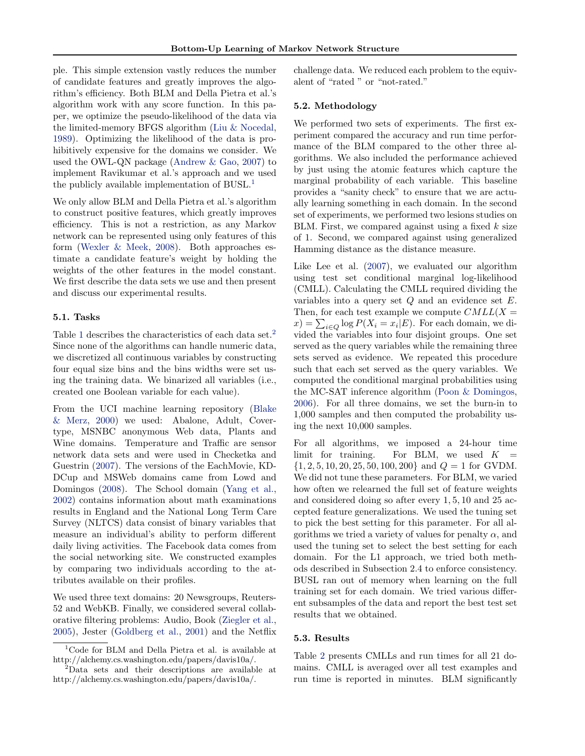ple. This simple extension vastly reduces the number of candidate features and greatly improves the algorithm's efficiency. Both BLM and Della Pietra et al.'s algorithm work with any score function. In this paper, we optimize the pseudo-likelihood of the data via the limited-memory BFGS algorithm [\(Liu & Nocedal,](#page-7-0) [1989\)](#page-7-0). Optimizing the likelihood of the data is prohibitively expensive for the domains we consider. We used the OWL-QN package [\(Andrew & Gao,](#page-7-0) [2007\)](#page-7-0) to implement Ravikumar et al.'s approach and we used the publicly available implementation of BUSL.<sup>1</sup>

We only allow BLM and Della Pietra et al.'s algorithm to construct positive features, which greatly improves efficiency. This is not a restriction, as any Markov network can be represented using only features of this form [\(Wexler & Meek,](#page-7-0) [2008\)](#page-7-0). Both approaches estimate a candidate feature's weight by holding the weights of the other features in the model constant. We first describe the data sets we use and then present and discuss our experimental results.

#### 5.1. Tasks

Table [1](#page-4-0) describes the characteristics of each data set.<sup>2</sup> Since none of the algorithms can handle numeric data, we discretized all continuous variables by constructing four equal size bins and the bins widths were set using the training data. We binarized all variables (i.e., created one Boolean variable for each value).

From the UCI machine learning repository [\(Blake](#page-7-0) [& Merz,](#page-7-0) [2000\)](#page-7-0) we used: Abalone, Adult, Covertype, MSNBC anonymous Web data, Plants and Wine domains. Temperature and Traffic are sensor network data sets and were used in Checketka and Guestrin [\(2007\)](#page-7-0). The versions of the EachMovie, KD-DCup and MSWeb domains came from Lowd and Domingos [\(2008\)](#page-7-0). The School domain [\(Yang et al.,](#page-7-0) [2002\)](#page-7-0) contains information about math examinations results in England and the National Long Term Care Survey (NLTCS) data consist of binary variables that measure an individual's ability to perform different daily living activities. The Facebook data comes from the social networking site. We constructed examples by comparing two individuals according to the attributes available on their profiles.

We used three text domains: 20 Newsgroups, Reuters-52 and WebKB. Finally, we considered several collaborative filtering problems: Audio, Book [\(Ziegler et al.,](#page-7-0) [2005\)](#page-7-0), Jester [\(Goldberg et al.,](#page-7-0) [2001\)](#page-7-0) and the Netflix challenge data. We reduced each problem to the equivalent of "rated " or "not-rated."

## 5.2. Methodology

We performed two sets of experiments. The first experiment compared the accuracy and run time performance of the BLM compared to the other three algorithms. We also included the performance achieved by just using the atomic features which capture the marginal probability of each variable. This baseline provides a "sanity check" to ensure that we are actually learning something in each domain. In the second set of experiments, we performed two lesions studies on BLM. First, we compared against using a fixed  $k$  size of 1. Second, we compared against using generalized Hamming distance as the distance measure.

Like Lee et al. [\(2007\)](#page-7-0), we evaluated our algorithm using test set conditional marginal log-likelihood (CMLL). Calculating the CMLL required dividing the variables into a query set  $Q$  and an evidence set  $E$ . Then, for each test example we compute  $CMLL(X =$  $f(x) = \sum_{i \in Q} \log P(X_i = x_i | E)$ . For each domain, we divided the variables into four disjoint groups. One set served as the query variables while the remaining three sets served as evidence. We repeated this procedure such that each set served as the query variables. We computed the conditional marginal probabilities using the MC-SAT inference algorithm [\(Poon & Domingos,](#page-7-0) [2006\)](#page-7-0). For all three domains, we set the burn-in to 1,000 samples and then computed the probability using the next 10,000 samples.

For all algorithms, we imposed a 24-hour time limit for training. For BLM, we used  $K =$  $\{1, 2, 5, 10, 20, 25, 50, 100, 200\}$  and  $Q = 1$  for GVDM. We did not tune these parameters. For BLM, we varied how often we relearned the full set of feature weights and considered doing so after every 1, 5, 10 and 25 accepted feature generalizations. We used the tuning set to pick the best setting for this parameter. For all algorithms we tried a variety of values for penalty  $\alpha$ , and used the tuning set to select the best setting for each domain. For the L1 approach, we tried both methods described in Subsection 2.4 to enforce consistency. BUSL ran out of memory when learning on the full training set for each domain. We tried various different subsamples of the data and report the best test set results that we obtained.

#### 5.3. Results

Table [2](#page-6-0) presents CMLLs and run times for all 21 domains. CMLL is averaged over all test examples and run time is reported in minutes. BLM significantly

<sup>1</sup>Code for BLM and Della Pietra et al. is available at http://alchemy.cs.washington.edu/papers/davis10a/.

 $2$ Data sets and their descriptions are available at http://alchemy.cs.washington.edu/papers/davis10a/.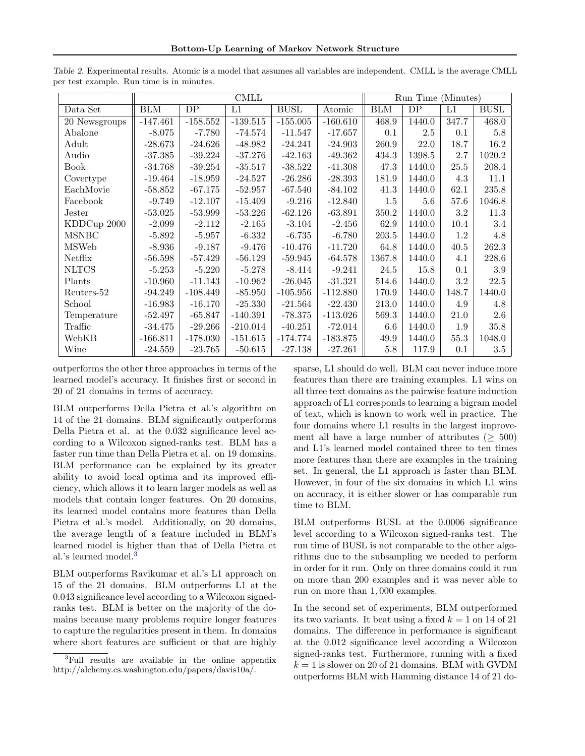|                            | $\overline{\text{CMLL}}$ |            |            |             | Run Time (Minutes) |            |         |       |             |
|----------------------------|--------------------------|------------|------------|-------------|--------------------|------------|---------|-------|-------------|
| Data Set                   | <b>BLM</b>               | DP         | L1         | <b>BUSL</b> | Atomic             | <b>BLM</b> | DP      | L1    | <b>BUSL</b> |
| $\overline{20}$ Newsgroups | $-147.461$               | $-158.552$ | $-139.515$ | $-155.005$  | $-160.610$         | 468.9      | 1440.0  | 347.7 | 468.0       |
| Abalone                    | $-8.075$                 | $-7.780$   | $-74.574$  | $-11.547$   | $-17.657$          | 0.1        | $2.5\,$ | 0.1   | 5.8         |
| Adult                      | $-28.673$                | $-24.626$  | $-48.982$  | $-24.241$   | $-24.903$          | 260.9      | 22.0    | 18.7  | 16.2        |
| Audio                      | $-37.385$                | $-39.224$  | $-37.276$  | $-42.163$   | $-49.362$          | 434.3      | 1398.5  | 2.7   | 1020.2      |
| <b>Book</b>                | $-34.768$                | $-39.254$  | $-35.517$  | $-38.522$   | $-41.308$          | 47.3       | 1440.0  | 25.5  | 208.4       |
| Covertype                  | $-19.464$                | $-18.959$  | $-24.527$  | $-26.286$   | $-28.393$          | 181.9      | 1440.0  | 4.3   | $11.1\,$    |
| EachMovie                  | $-58.852$                | $-67.175$  | $-52.957$  | $-67.540$   | $-84.102$          | 41.3       | 1440.0  | 62.1  | 235.8       |
| Facebook                   | $-9.749$                 | $-12.107$  | $-15.409$  | $-9.216$    | $-12.840$          | 1.5        | 5.6     | 57.6  | 1046.8      |
| Jester                     | $-53.025$                | $-53.999$  | $-53.226$  | $-62.126$   | $-63.891$          | 350.2      | 1440.0  | 3.2   | 11.3        |
| KDDCup 2000                | $-2.099$                 | $-2.112$   | $-2.165$   | $-3.104$    | $-2.456$           | 62.9       | 1440.0  | 10.4  | 3.4         |
| <b>MSNBC</b>               | $-5.892$                 | $-5.957$   | $-6.332$   | $-6.735$    | $-6.780$           | 203.5      | 1440.0  | 1.2   | 4.8         |
| <b>MSWeb</b>               | $-8.936$                 | $-9.187$   | $-9.476$   | $-10.476$   | $-11.720$          | 64.8       | 1440.0  | 40.5  | 262.3       |
| Netflix                    | $-56.598$                | $-57.429$  | $-56.129$  | $-59.945$   | $-64.578$          | 1367.8     | 1440.0  | 4.1   | 228.6       |
| <b>NLTCS</b>               | $-5.253$                 | $-5.220$   | $-5.278$   | $-8.414$    | $-9.241$           | 24.5       | 15.8    | 0.1   | 3.9         |
| Plants                     | $-10.960$                | $-11.143$  | $-10.962$  | $-26.045$   | $-31.321$          | 514.6      | 1440.0  | 3.2   | $22.5\,$    |
| Reuters-52                 | $-94.249$                | $-108.449$ | $-85.950$  | $-105.956$  | $-112.880$         | 170.9      | 1440.0  | 148.7 | 1440.0      |
| School                     | $-16.983$                | $-16.170$  | $-25.330$  | $-21.564$   | $-22.430$          | $213.0\,$  | 1440.0  | 4.9   | 4.8         |
| Temperature                | $-52.497$                | $-65.847$  | $-140.391$ | $-78.375$   | $-113.026$         | 569.3      | 1440.0  | 21.0  | 2.6         |
| Traffic                    | $-34.475$                | $-29.266$  | $-210.014$ | $-40.251$   | $-72.014$          | 6.6        | 1440.0  | 1.9   | 35.8        |
| WebKB                      | $-166.811$               | $-178.030$ | $-151.615$ | $-174.774$  | $-183.875$         | 49.9       | 1440.0  | 55.3  | 1048.0      |
| Wine                       | $-24.559$                | $-23.765$  | $-50.615$  | $-27.138$   | $-27.261$          | $5.8\,$    | 117.9   | 0.1   | 3.5         |

<span id="page-6-0"></span>Table 2. Experimental results. Atomic is a model that assumes all variables are independent. CMLL is the average CMLL per test example. Run time is in minutes.

outperforms the other three approaches in terms of the learned model's accuracy. It finishes first or second in 20 of 21 domains in terms of accuracy.

BLM outperforms Della Pietra et al.'s algorithm on 14 of the 21 domains. BLM significantly outperforms Della Pietra et al. at the 0.032 significance level according to a Wilcoxon signed-ranks test. BLM has a faster run time than Della Pietra et al. on 19 domains. BLM performance can be explained by its greater ability to avoid local optima and its improved efficiency, which allows it to learn larger models as well as models that contain longer features. On 20 domains, its learned model contains more features than Della Pietra et al.'s model. Additionally, on 20 domains, the average length of a feature included in BLM's learned model is higher than that of Della Pietra et al.'s learned model.<sup>3</sup>

BLM outperforms Ravikumar et al.'s L1 approach on 15 of the 21 domains. BLM outperforms L1 at the 0.043 significance level according to a Wilcoxon signedranks test. BLM is better on the majority of the domains because many problems require longer features to capture the regularities present in them. In domains where short features are sufficient or that are highly sparse, L1 should do well. BLM can never induce more features than there are training examples. L1 wins on all three text domains as the pairwise feature induction approach of L1 corresponds to learning a bigram model of text, which is known to work well in practice. The four domains where L1 results in the largest improvement all have a large number of attributes ( $\geq 500$ ) and L1's learned model contained three to ten times more features than there are examples in the training set. In general, the L1 approach is faster than BLM. However, in four of the six domains in which L1 wins on accuracy, it is either slower or has comparable run time to BLM.

BLM outperforms BUSL at the 0.0006 significance level according to a Wilcoxon signed-ranks test. The run time of BUSL is not comparable to the other algorithms due to the subsampling we needed to perform in order for it run. Only on three domains could it run on more than 200 examples and it was never able to run on more than 1, 000 examples.

In the second set of experiments, BLM outperformed its two variants. It beat using a fixed  $k = 1$  on 14 of 21 domains. The difference in performance is significant at the 0.012 significance level according a Wilcoxon signed-ranks test. Furthermore, running with a fixed  $k = 1$  is slower on 20 of 21 domains. BLM with GVDM outperforms BLM with Hamming distance 14 of 21 do-

<sup>&</sup>lt;sup>3</sup>Full results are available in the online appendix http://alchemy.cs.washington.edu/papers/davis10a/.